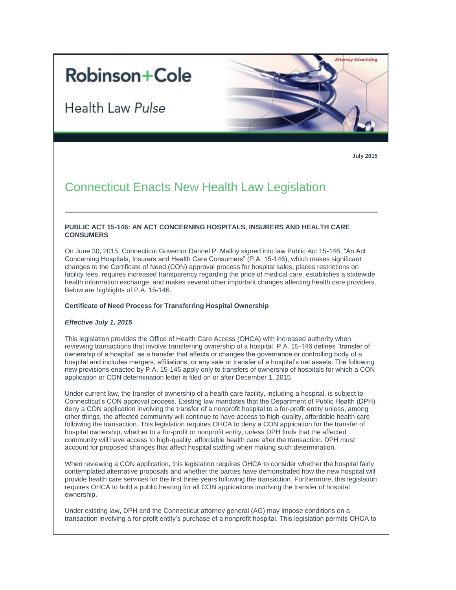# **Robinson+Cole**

Health Law Pulse



**July 2015**

# Connecticut Enacts New Health Law Legislation

# **PUBLIC ACT 15-146: AN ACT CONCERNING HOSPITALS, INSURERS AND HEALTH CARE CONSUMERS**

On June 30, 2015, Connecticut Governor Dannel P. Malloy signed into law Public Act 15-146, "An Act Concerning Hospitals, Insurers and Health Care Consumers" (P.A. 15-146), which makes significant changes to the Certificate of Need (CON) approval process for hospital sales, places restrictions on facility fees, requires increased transparency regarding the price of medical care, establishes a statewide health information exchange, and makes several other important changes affecting health care providers. Below are highlights of P.A. 15-146.

#### **Certificate of Need Process for Transferring Hospital Ownership**

#### *Effective July 1, 2015*

This legislation provides the Office of Health Care Access (OHCA) with increased authority when reviewing transactions that involve transferring ownership of a hospital. P.A. 15-146 defines "transfer of ownership of a hospital" as a transfer that affects or changes the governance or controlling body of a hospital and includes mergers, affiliations, or any sale or transfer of a hospital's net assets. The following new provisions enacted by P.A. 15-146 apply only to transfers of ownership of hospitals for which a CON application or CON determination letter is filed on or after December 1, 2015.

Under current law, the transfer of ownership of a health care facility, including a hospital, is subject to Connecticut's CON approval process. Existing law mandates that the Department of Public Health (DPH) deny a CON application involving the transfer of a nonprofit hospital to a for-profit entity unless, among other things, the affected community will continue to have access to high-quality, affordable health care following the transaction. This legislation requires OHCA to deny a CON application for the transfer of hospital ownership, whether to a for-profit or nonprofit entity, unless DPH finds that the affected community will have access to high-quality, affordable health care after the transaction. DPH must account for proposed changes that affect hospital staffing when making such determination.

When reviewing a CON application, this legislation requires OHCA to consider whether the hospital fairly contemplated alternative proposals and whether the parties have demonstrated how the new hospital will provide health care services for the first three years following the transaction. Furthermore, this legislation requires OHCA to hold a public hearing for all CON applications involving the transfer of hospital ownership.

Under existing law, DPH and the Connecticut attorney general (AG) may impose conditions on a transaction involving a for-profit entity's purchase of a nonprofit hospital. This legislation permits OHCA to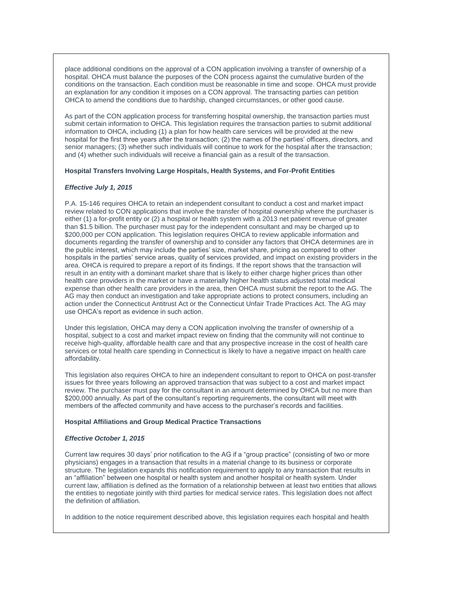place additional conditions on the approval of a CON application involving a transfer of ownership of a hospital. OHCA must balance the purposes of the CON process against the cumulative burden of the conditions on the transaction. Each condition must be reasonable in time and scope. OHCA must provide an explanation for any condition it imposes on a CON approval. The transacting parties can petition OHCA to amend the conditions due to hardship, changed circumstances, or other good cause.

As part of the CON application process for transferring hospital ownership, the transaction parties must submit certain information to OHCA. This legislation requires the transaction parties to submit additional information to OHCA, including (1) a plan for how health care services will be provided at the new hospital for the first three years after the transaction; (2) the names of the parties' officers, directors, and senior managers; (3) whether such individuals will continue to work for the hospital after the transaction; and (4) whether such individuals will receive a financial gain as a result of the transaction.

#### **Hospital Transfers Involving Large Hospitals, Health Systems, and For-Profit Entities**

# *Effective July 1, 2015*

P.A. 15-146 requires OHCA to retain an independent consultant to conduct a cost and market impact review related to CON applications that involve the transfer of hospital ownership where the purchaser is either (1) a for-profit entity or (2) a hospital or health system with a 2013 net patient revenue of greater than \$1.5 billion. The purchaser must pay for the independent consultant and may be charged up to \$200,000 per CON application. This legislation requires OHCA to review applicable information and documents regarding the transfer of ownership and to consider any factors that OHCA determines are in the public interest, which may include the parties' size, market share, pricing as compared to other hospitals in the parties' service areas, quality of services provided, and impact on existing providers in the area. OHCA is required to prepare a report of its findings. If the report shows that the transaction will result in an entity with a dominant market share that is likely to either charge higher prices than other health care providers in the market or have a materially higher health status adjusted total medical expense than other health care providers in the area, then OHCA must submit the report to the AG. The AG may then conduct an investigation and take appropriate actions to protect consumers, including an action under the Connecticut Antitrust Act or the Connecticut Unfair Trade Practices Act. The AG may use OHCA's report as evidence in such action.

Under this legislation, OHCA may deny a CON application involving the transfer of ownership of a hospital, subject to a cost and market impact review on finding that the community will not continue to receive high-quality, affordable health care and that any prospective increase in the cost of health care services or total health care spending in Connecticut is likely to have a negative impact on health care affordability.

This legislation also requires OHCA to hire an independent consultant to report to OHCA on post-transfer issues for three years following an approved transaction that was subject to a cost and market impact review. The purchaser must pay for the consultant in an amount determined by OHCA but no more than \$200,000 annually. As part of the consultant's reporting requirements, the consultant will meet with members of the affected community and have access to the purchaser's records and facilities.

#### **Hospital Affiliations and Group Medical Practice Transactions**

#### *Effective October 1, 2015*

Current law requires 30 days' prior notification to the AG if a "group practice" (consisting of two or more physicians) engages in a transaction that results in a material change to its business or corporate structure. The legislation expands this notification requirement to apply to any transaction that results in an "affiliation" between one hospital or health system and another hospital or health system. Under current law, affiliation is defined as the formation of a relationship between at least two entities that allows the entities to negotiate jointly with third parties for medical service rates. This legislation does not affect the definition of affiliation.

In addition to the notice requirement described above, this legislation requires each hospital and health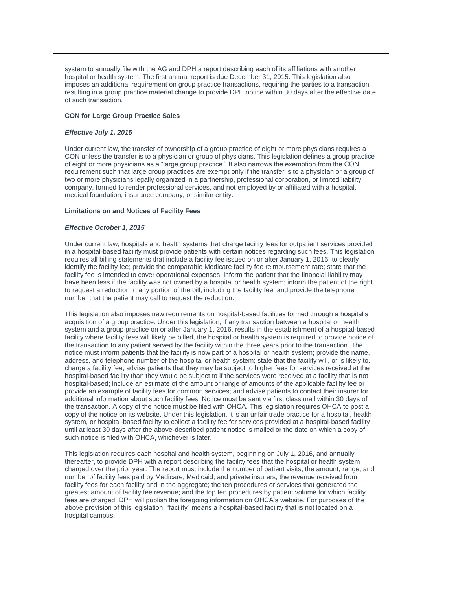system to annually file with the AG and DPH a report describing each of its affiliations with another hospital or health system. The first annual report is due December 31, 2015. This legislation also imposes an additional requirement on group practice transactions, requiring the parties to a transaction resulting in a group practice material change to provide DPH notice within 30 days after the effective date of such transaction.

#### **CON for Large Group Practice Sales**

#### *Effective July 1, 2015*

Under current law, the transfer of ownership of a group practice of eight or more physicians requires a CON unless the transfer is to a physician or group of physicians. This legislation defines a group practice of eight or more physicians as a "large group practice." It also narrows the exemption from the CON requirement such that large group practices are exempt only if the transfer is to a physician or a group of two or more physicians legally organized in a partnership, professional corporation, or limited liability company, formed to render professional services, and not employed by or affiliated with a hospital, medical foundation, insurance company, or similar entity.

# **Limitations on and Notices of Facility Fees**

# *Effective October 1, 2015*

Under current law, hospitals and health systems that charge facility fees for outpatient services provided in a hospital-based facility must provide patients with certain notices regarding such fees. This legislation requires all billing statements that include a facility fee issued on or after January 1, 2016, to clearly identify the facility fee; provide the comparable Medicare facility fee reimbursement rate; state that the facility fee is intended to cover operational expenses; inform the patient that the financial liability may have been less if the facility was not owned by a hospital or health system; inform the patient of the right to request a reduction in any portion of the bill, including the facility fee; and provide the telephone number that the patient may call to request the reduction.

This legislation also imposes new requirements on hospital-based facilities formed through a hospital's acquisition of a group practice. Under this legislation, if any transaction between a hospital or health system and a group practice on or after January 1, 2016, results in the establishment of a hospital-based facility where facility fees will likely be billed, the hospital or health system is required to provide notice of the transaction to any patient served by the facility within the three years prior to the transaction. The notice must inform patients that the facility is now part of a hospital or health system; provide the name, address, and telephone number of the hospital or health system; state that the facility will, or is likely to, charge a facility fee; advise patients that they may be subject to higher fees for services received at the hospital-based facility than they would be subject to if the services were received at a facility that is not hospital-based; include an estimate of the amount or range of amounts of the applicable facility fee or provide an example of facility fees for common services; and advise patients to contact their insurer for additional information about such facility fees. Notice must be sent via first class mail within 30 days of the transaction. A copy of the notice must be filed with OHCA. This legislation requires OHCA to post a copy of the notice on its website. Under this legislation, it is an unfair trade practice for a hospital, health system, or hospital-based facility to collect a facility fee for services provided at a hospital-based facility until at least 30 days after the above-described patient notice is mailed or the date on which a copy of such notice is filed with OHCA, whichever is later.

This legislation requires each hospital and health system, beginning on July 1, 2016, and annually thereafter, to provide DPH with a report describing the facility fees that the hospital or health system charged over the prior year. The report must include the number of patient visits; the amount, range, and number of facility fees paid by Medicare, Medicaid, and private insurers; the revenue received from facility fees for each facility and in the aggregate; the ten procedures or services that generated the greatest amount of facility fee revenue; and the top ten procedures by patient volume for which facility fees are charged. DPH will publish the foregoing information on OHCA's website. For purposes of the above provision of this legislation, "facility" means a hospital-based facility that is not located on a hospital campus.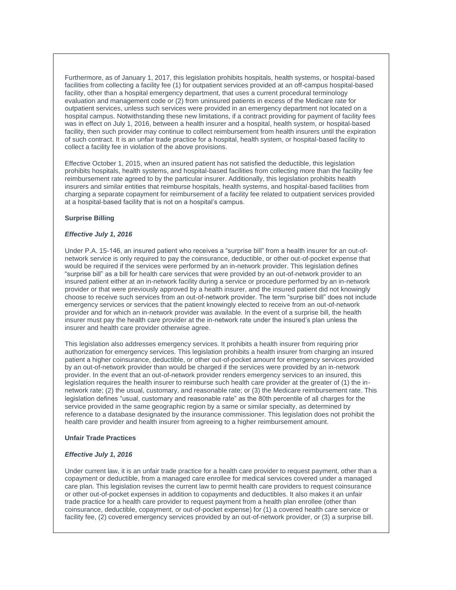Furthermore, as of January 1, 2017, this legislation prohibits hospitals, health systems, or hospital-based facilities from collecting a facility fee (1) for outpatient services provided at an off-campus hospital-based facility, other than a hospital emergency department, that uses a current procedural terminology evaluation and management code or (2) from uninsured patients in excess of the Medicare rate for outpatient services, unless such services were provided in an emergency department not located on a hospital campus. Notwithstanding these new limitations, if a contract providing for payment of facility fees was in effect on July 1, 2016, between a health insurer and a hospital, health system, or hospital-based facility, then such provider may continue to collect reimbursement from health insurers until the expiration of such contract. It is an unfair trade practice for a hospital, health system, or hospital-based facility to collect a facility fee in violation of the above provisions.

Effective October 1, 2015, when an insured patient has not satisfied the deductible, this legislation prohibits hospitals, health systems, and hospital-based facilities from collecting more than the facility fee reimbursement rate agreed to by the particular insurer. Additionally, this legislation prohibits health insurers and similar entities that reimburse hospitals, health systems, and hospital-based facilities from charging a separate copayment for reimbursement of a facility fee related to outpatient services provided at a hospital-based facility that is not on a hospital's campus.

#### **Surprise Billing**

#### *Effective July 1, 2016*

Under P.A. 15-146, an insured patient who receives a "surprise bill" from a health insurer for an out-ofnetwork service is only required to pay the coinsurance, deductible, or other out-of-pocket expense that would be required if the services were performed by an in-network provider. This legislation defines "surprise bill" as a bill for health care services that were provided by an out-of-network provider to an insured patient either at an in-network facility during a service or procedure performed by an in-network provider or that were previously approved by a health insurer, and the insured patient did not knowingly choose to receive such services from an out-of-network provider. The term "surprise bill" does not include emergency services or services that the patient knowingly elected to receive from an out-of-network provider and for which an in-network provider was available. In the event of a surprise bill, the health insurer must pay the health care provider at the in-network rate under the insured's plan unless the insurer and health care provider otherwise agree.

This legislation also addresses emergency services. It prohibits a health insurer from requiring prior authorization for emergency services. This legislation prohibits a health insurer from charging an insured patient a higher coinsurance, deductible, or other out-of-pocket amount for emergency services provided by an out-of-network provider than would be charged if the services were provided by an in-network provider. In the event that an out-of-network provider renders emergency services to an insured, this legislation requires the health insurer to reimburse such health care provider at the greater of (1) the innetwork rate; (2) the usual, customary, and reasonable rate; or (3) the Medicare reimbursement rate. This legislation defines "usual, customary and reasonable rate" as the 80th percentile of all charges for the service provided in the same geographic region by a same or similar specialty, as determined by reference to a database designated by the insurance commissioner. This legislation does not prohibit the health care provider and health insurer from agreeing to a higher reimbursement amount.

#### **Unfair Trade Practices**

#### *Effective July 1, 2016*

Under current law, it is an unfair trade practice for a health care provider to request payment, other than a copayment or deductible, from a managed care enrollee for medical services covered under a managed care plan. This legislation revises the current law to permit health care providers to request coinsurance or other out-of-pocket expenses in addition to copayments and deductibles. It also makes it an unfair trade practice for a health care provider to request payment from a health plan enrollee (other than coinsurance, deductible, copayment, or out-of-pocket expense) for (1) a covered health care service or facility fee, (2) covered emergency services provided by an out-of-network provider, or (3) a surprise bill.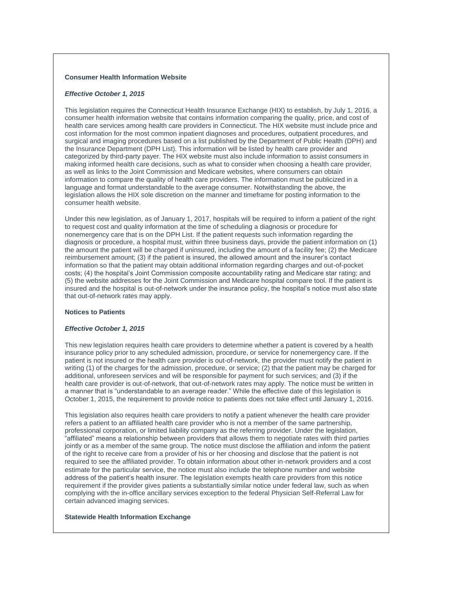# **Consumer Health Information Website**

#### *Effective October 1, 2015*

This legislation requires the Connecticut Health Insurance Exchange (HIX) to establish, by July 1, 2016, a consumer health information website that contains information comparing the quality, price, and cost of health care services among health care providers in Connecticut. The HIX website must include price and cost information for the most common inpatient diagnoses and procedures, outpatient procedures, and surgical and imaging procedures based on a list published by the Department of Public Health (DPH) and the Insurance Department (DPH List). This information will be listed by health care provider and categorized by third-party payer. The HIX website must also include information to assist consumers in making informed health care decisions, such as what to consider when choosing a health care provider, as well as links to the Joint Commission and Medicare websites, where consumers can obtain information to compare the quality of health care providers. The information must be publicized in a language and format understandable to the average consumer. Notwithstanding the above, the legislation allows the HIX sole discretion on the manner and timeframe for posting information to the consumer health website.

Under this new legislation, as of January 1, 2017, hospitals will be required to inform a patient of the right to request cost and quality information at the time of scheduling a diagnosis or procedure for nonemergency care that is on the DPH List. If the patient requests such information regarding the diagnosis or procedure, a hospital must, within three business days, provide the patient information on (1) the amount the patient will be charged if uninsured, including the amount of a facility fee; (2) the Medicare reimbursement amount; (3) if the patient is insured, the allowed amount and the insurer's contact information so that the patient may obtain additional information regarding charges and out-of-pocket costs; (4) the hospital's Joint Commission composite accountability rating and Medicare star rating; and (5) the website addresses for the Joint Commission and Medicare hospital compare tool. If the patient is insured and the hospital is out-of-network under the insurance policy, the hospital's notice must also state that out-of-network rates may apply.

#### **Notices to Patients**

#### *Effective October 1, 2015*

This new legislation requires health care providers to determine whether a patient is covered by a health insurance policy prior to any scheduled admission, procedure, or service for nonemergency care. If the patient is not insured or the health care provider is out-of-network, the provider must notify the patient in writing (1) of the charges for the admission, procedure, or service; (2) that the patient may be charged for additional, unforeseen services and will be responsible for payment for such services; and (3) if the health care provider is out-of-network, that out-of-network rates may apply. The notice must be written in a manner that is "understandable to an average reader." While the effective date of this legislation is October 1, 2015, the requirement to provide notice to patients does not take effect until January 1, 2016.

This legislation also requires health care providers to notify a patient whenever the health care provider refers a patient to an affiliated health care provider who is not a member of the same partnership, professional corporation, or limited liability company as the referring provider. Under the legislation, "affiliated" means a relationship between providers that allows them to negotiate rates with third parties jointly or as a member of the same group. The notice must disclose the affiliation and inform the patient of the right to receive care from a provider of his or her choosing and disclose that the patient is not required to see the affiliated provider. To obtain information about other in-network providers and a cost estimate for the particular service, the notice must also include the telephone number and website address of the patient's health insurer. The legislation exempts health care providers from this notice requirement if the provider gives patients a substantially similar notice under federal law, such as when complying with the in-office ancillary services exception to the federal Physician Self-Referral Law for certain advanced imaging services.

#### **Statewide Health Information Exchange**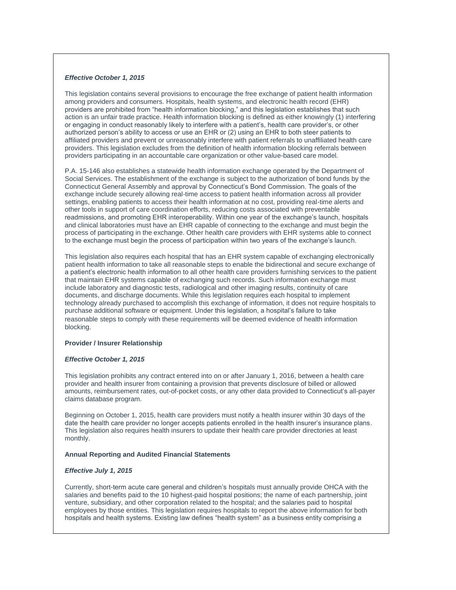# *Effective October 1, 2015*

This legislation contains several provisions to encourage the free exchange of patient health information among providers and consumers. Hospitals, health systems, and electronic health record (EHR) providers are prohibited from "health information blocking," and this legislation establishes that such action is an unfair trade practice. Health information blocking is defined as either knowingly (1) interfering or engaging in conduct reasonably likely to interfere with a patient's, health care provider's, or other authorized person's ability to access or use an EHR or (2) using an EHR to both steer patients to affiliated providers and prevent or unreasonably interfere with patient referrals to unaffiliated health care providers. This legislation excludes from the definition of health information blocking referrals between providers participating in an accountable care organization or other value-based care model.

P.A. 15-146 also establishes a statewide health information exchange operated by the Department of Social Services. The establishment of the exchange is subject to the authorization of bond funds by the Connecticut General Assembly and approval by Connecticut's Bond Commission. The goals of the exchange include securely allowing real-time access to patient health information across all provider settings, enabling patients to access their health information at no cost, providing real-time alerts and other tools in support of care coordination efforts, reducing costs associated with preventable readmissions, and promoting EHR interoperability. Within one year of the exchange's launch, hospitals and clinical laboratories must have an EHR capable of connecting to the exchange and must begin the process of participating in the exchange. Other health care providers with EHR systems able to connect to the exchange must begin the process of participation within two years of the exchange's launch.

This legislation also requires each hospital that has an EHR system capable of exchanging electronically patient health information to take all reasonable steps to enable the bidirectional and secure exchange of a patient's electronic health information to all other health care providers furnishing services to the patient that maintain EHR systems capable of exchanging such records. Such information exchange must include laboratory and diagnostic tests, radiological and other imaging results, continuity of care documents, and discharge documents. While this legislation requires each hospital to implement technology already purchased to accomplish this exchange of information, it does not require hospitals to purchase additional software or equipment. Under this legislation, a hospital's failure to take reasonable steps to comply with these requirements will be deemed evidence of health information blocking.

#### **Provider / Insurer Relationship**

#### *Effective October 1, 2015*

This legislation prohibits any contract entered into on or after January 1, 2016, between a health care provider and health insurer from containing a provision that prevents disclosure of billed or allowed amounts, reimbursement rates, out-of-pocket costs, or any other data provided to Connecticut's all-payer claims database program.

Beginning on October 1, 2015, health care providers must notify a health insurer within 30 days of the date the health care provider no longer accepts patients enrolled in the health insurer's insurance plans. This legislation also requires health insurers to update their health care provider directories at least monthly.

# **Annual Reporting and Audited Financial Statements**

#### *Effective July 1, 2015*

Currently, short-term acute care general and children's hospitals must annually provide OHCA with the salaries and benefits paid to the 10 highest-paid hospital positions; the name of each partnership, joint venture, subsidiary, and other corporation related to the hospital; and the salaries paid to hospital employees by those entities. This legislation requires hospitals to report the above information for both hospitals and health systems. Existing law defines "health system" as a business entity comprising a